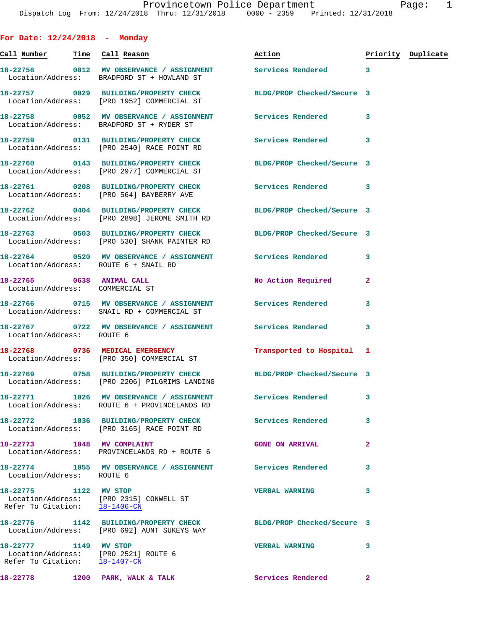**For Date: 12/24/2018 - Monday Call Number Time Call Reason Action Priority Duplicate 18-22756 0012 MV OBSERVANCE / ASSIGNMENT Services Rendered 3**  Location/Address: BRADFORD ST + HOWLAND ST **18-22757 0029 BUILDING/PROPERTY CHECK BLDG/PROP Checked/Secure 3**  Location/Address: [PRO 1952] COMMERCIAL ST **18-22758 0052 MV OBSERVANCE / ASSIGNMENT Services Rendered 3**  Location/Address: BRADFORD ST + RYDER ST **18-22759 0131 BUILDING/PROPERTY CHECK Services Rendered 3**  Location/Address: [PRO 2540] RACE POINT RD **18-22760 0143 BUILDING/PROPERTY CHECK BLDG/PROP Checked/Secure 3**  Location/Address: [PRO 2977] COMMERCIAL ST **18-22761 0208 BUILDING/PROPERTY CHECK Services Rendered 3**  Location/Address: [PRO 564] BAYBERRY AVE **18-22762 0404 BUILDING/PROPERTY CHECK BLDG/PROP Checked/Secure 3**  Location/Address: [PRO 2898] JEROME SMITH RD **18-22763 0503 BUILDING/PROPERTY CHECK BLDG/PROP Checked/Secure 3**  Location/Address: [PRO 530] SHANK PAINTER RD **18-22764 0520 MV OBSERVANCE / ASSIGNMENT Services Rendered 3**  Location/Address: ROUTE 6 + SNAIL RD **18-22765 0638 ANIMAL CALL No Action Required 2**  Location/Address: COMMERCIAL ST **18-22766 0715 MV OBSERVANCE / ASSIGNMENT Services Rendered 3**  Location/Address: SNAIL RD + COMMERCIAL ST **18-22767 0722 MV OBSERVANCE / ASSIGNMENT Services Rendered 3**  Location/Address: ROUTE 6 **18-22768 0736 MEDICAL EMERGENCY Transported to Hospital 1**  Location/Address: [PRO 350] COMMERCIAL ST **18-22769 0758 BUILDING/PROPERTY CHECK BLDG/PROP Checked/Secure 3**  Location/Address: [PRO 2206] PILGRIMS LANDING **18-22771 1026 MV OBSERVANCE / ASSIGNMENT Services Rendered 3**  Location/Address: ROUTE 6 + PROVINCELANDS RD **18-22772 1036 BUILDING/PROPERTY CHECK Services Rendered 3**  Location/Address: [PRO 3165] RACE POINT RD **18-22773 1048 MV COMPLAINT GONE ON ARRIVAL 2**  Location/Address: PROVINCELANDS RD + ROUTE 6 **18-22774 1055 MV OBSERVANCE / ASSIGNMENT Services Rendered 3**  Location/Address: ROUTE 6 **18-22775 1122 MV STOP VERBAL WARNING 3**  Location/Address: [PRO 2315] CONWELL ST Refer To Citation: 18-1406-CN **18-22776 1142 BUILDING/PROPERTY CHECK BLDG/PROP Checked/Secure 3**  Location/Address: [PRO 692] AUNT SUKEYS WAY

**18-22777 1149 MV STOP VERBAL WARNING 3**  Location/Address: [PRO 2521] ROUTE 6 Refer To Citation: 18-1407-CN 18-22778 1200 PARK, WALK & TALK **Services Rendered** 2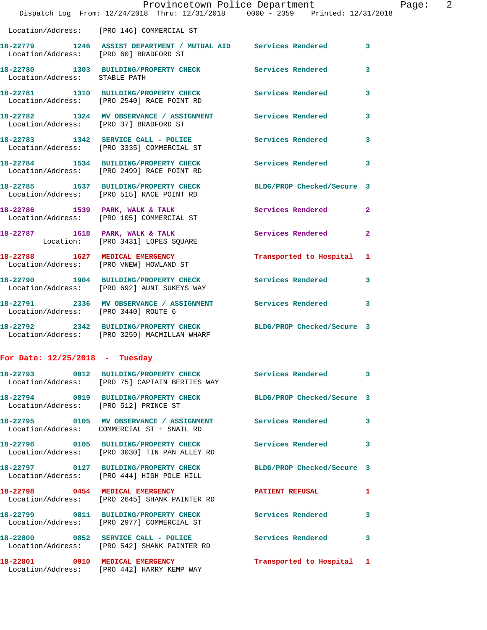|                                        | Dispatch Log From: 12/24/2018 Thru: 12/31/2018 0000 - 2359 Printed: 12/31/2018                                   | Provincetown Police Department | Page: 2                 |
|----------------------------------------|------------------------------------------------------------------------------------------------------------------|--------------------------------|-------------------------|
|                                        | Location/Address: [PRO 146] COMMERCIAL ST                                                                        |                                |                         |
| Location/Address: [PRO 60] BRADFORD ST | 18-22779 1246 ASSIST DEPARTMENT / MUTUAL AID Services Rendered 3                                                 |                                |                         |
| Location/Address: STABLE PATH          | 18-22780 1303 BUILDING/PROPERTY CHECK Services Rendered                                                          |                                | 3                       |
|                                        | 18-22781 1310 BUILDING/PROPERTY CHECK Services Rendered 3<br>Location/Address: [PRO 2540] RACE POINT RD          |                                |                         |
|                                        | 18-22782 1324 MV OBSERVANCE / ASSIGNMENT Services Rendered 3<br>Location/Address: [PRO 37] BRADFORD ST           |                                |                         |
|                                        | 18-22783 1342 SERVICE CALL - POLICE Services Rendered 3<br>Location/Address: [PRO 3335] COMMERCIAL ST            |                                |                         |
|                                        | 18-22784 1534 BUILDING/PROPERTY CHECK<br>Location/Address: [PRO 2499] RACE POINT RD                              | Services Rendered              | $\overline{\mathbf{3}}$ |
|                                        | 18-22785 1537 BUILDING/PROPERTY CHECK BLDG/PROP Checked/Secure 3<br>Location/Address: [PRO 515] RACE POINT RD    |                                |                         |
|                                        | 18-22786 1539 PARK, WALK & TALK<br>Location/Address: [PRO 105] COMMERCIAL ST                                     | Services Rendered              | $\overline{2}$          |
|                                        | 18-22787 1618 PARK, WALK & TALK 3 Services Rendered<br>Location: [PRO 3431] LOPES SQUARE                         |                                | $\overline{2}$          |
|                                        | 18-22788 1627 MEDICAL EMERGENCY<br>Location/Address: [PRO VNEW] HOWLAND ST                                       | Transported to Hospital 1      |                         |
|                                        | 18-22790 1904 BUILDING/PROPERTY CHECK Services Rendered<br>Location/Address: [PRO 692] AUNT SUKEYS WAY           |                                | 3                       |
| Location/Address: [PRO 3440] ROUTE 6   | 18-22791 2336 MV OBSERVANCE / ASSIGNMENT Services Rendered 3                                                     |                                |                         |
|                                        | 18-22792 2342 BUILDING/PROPERTY CHECK BLDG/PROP Checked/Secure 3<br>Location/Address: [PRO 3259] MACMILLAN WHARF |                                |                         |
| For Date: $12/25/2018$ - Tuesday       |                                                                                                                  |                                |                         |
|                                        | 18-22793 0012 BUILDING/PROPERTY CHECK Services Rendered 3<br>Location/Address: [PRO 75] CAPTAIN BERTIES WAY      |                                |                         |
|                                        | 18-22794 0019 BUILDING/PROPERTY CHECK BLDG/PROP Checked/Secure 3<br>Location/Address: [PRO 512] PRINCE ST        |                                |                         |
|                                        | 18-22795 0105 MV OBSERVANCE / ASSIGNMENT Services Rendered 3<br>Location/Address: COMMERCIAL ST + SNAIL RD       |                                |                         |
|                                        | 18-22796 0105 BUILDING/PROPERTY CHECK Services Rendered 3<br>Location/Address: [PRO 3030] TIN PAN ALLEY RD       |                                |                         |
|                                        | 18-22797 0127 BUILDING/PROPERTY CHECK BLDG/PROP Checked/Secure 3<br>Location/Address: [PRO 444] HIGH POLE HILL   |                                |                         |
|                                        | 18-22798 0454 MEDICAL EMERGENCY<br>Location/Address: [PRO 2645] SHANK PAINTER RD                                 | PATIENT REFUSAL                | $\mathbf{1}$            |
|                                        | 18-22799 0811 BUILDING/PROPERTY CHECK Services Rendered<br>Location/Address: [PRO 2977] COMMERCIAL ST            |                                | 3                       |
|                                        | 18-22800 0852 SERVICE CALL - POLICE Services Rendered 3<br>Location/Address: [PRO 542] SHANK PAINTER RD          |                                |                         |
|                                        | 18-22801 0910 MEDICAL EMERGENCY<br>Location/Address: [PRO 442] HARRY KEMP WAY                                    | Transported to Hospital 1      |                         |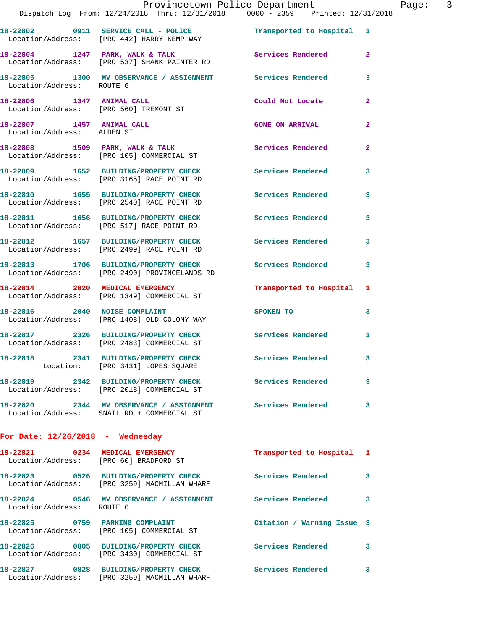|                                    | Dispatch Log From: 12/24/2018 Thru: 12/31/2018 0000 - 2359 Printed: 12/31/2018                              | Provincetown Police Department Page: 3  |                         |  |
|------------------------------------|-------------------------------------------------------------------------------------------------------------|-----------------------------------------|-------------------------|--|
|                                    | 18-22802 0911 SERVICE CALL - POLICE Transported to Hospital 3<br>Location/Address: [PRO 442] HARRY KEMP WAY |                                         |                         |  |
|                                    | 18-22804 1247 PARK, WALK & TALK Services Rendered<br>Location/Address: [PRO 537] SHANK PAINTER RD           |                                         | $\mathbf{2}$            |  |
|                                    | 18-22805 1300 MV OBSERVANCE / ASSIGNMENT Services Rendered 3<br>Location/Address: ROUTE 6                   |                                         |                         |  |
|                                    | 18-22806 1347 ANIMAL CALL<br>Location/Address: [PRO 560] TREMONT ST                                         | Could Not Locate                        | $\mathbf{2}$            |  |
|                                    | 18-22807 1457 ANIMAL CALL<br>Location/Address: ALDEN ST                                                     | <b>GONE ON ARRIVAL</b>                  | $\mathbf{2}$            |  |
|                                    | 18-22808 1509 PARK, WALK & TALK 1988 Services Rendered<br>Location/Address: [PRO 105] COMMERCIAL ST         |                                         | $\mathbf{2}$            |  |
|                                    | 18-22809 1652 BUILDING/PROPERTY CHECK Services Rendered 3<br>Location/Address: [PRO 3165] RACE POINT RD     |                                         |                         |  |
|                                    | 18-22810 1655 BUILDING/PROPERTY CHECK Services Rendered<br>Location/Address: [PRO 2540] RACE POINT RD       |                                         | 3                       |  |
|                                    | 18-22811 1656 BUILDING/PROPERTY CHECK Services Rendered 3<br>Location/Address: [PRO 517] RACE POINT RD      |                                         |                         |  |
|                                    | 18-22812 1657 BUILDING/PROPERTY CHECK<br>Location/Address: [PRO 2499] RACE POINT RD                         | Services Rendered                       | 3                       |  |
|                                    | 18-22813 1706 BUILDING/PROPERTY CHECK Services Rendered 3<br>Location/Address: [PRO 2490] PROVINCELANDS RD  |                                         |                         |  |
|                                    | 18-22814 2020 MEDICAL EMERGENCY<br>Location/Address: [PRO 1349] COMMERCIAL ST                               | Transported to Hospital 1               |                         |  |
| 18-22816 2040 NOISE COMPLAINT      | Location/Address: [PRO 1408] OLD COLONY WAY                                                                 | SPOKEN TO DESCRIPTION OF REAL PROPERTY. | 3                       |  |
|                                    | 18-22817 2326 BUILDING/PROPERTY CHECK Services Rendered 3<br>Location/Address: [PRO 2483] COMMERCIAL ST     |                                         |                         |  |
|                                    | 18-22818 2341 BUILDING/PROPERTY CHECK<br>Location: [PRO 3431] LOPES SQUARE                                  | Services Rendered                       |                         |  |
|                                    | 18-22819 2342 BUILDING/PROPERTY CHECK Services Rendered<br>Location/Address: [PRO 2018] COMMERCIAL ST       |                                         | 3                       |  |
|                                    | 18-22820 2344 MV OBSERVANCE / ASSIGNMENT Services Rendered 3<br>Location/Address: SNAIL RD + COMMERCIAL ST  |                                         |                         |  |
| For Date: $12/26/2018$ - Wednesday |                                                                                                             |                                         |                         |  |
|                                    | 18-22821 0234 MEDICAL EMERGENCY<br>Location/Address: [PRO 60] BRADFORD ST                                   | Transported to Hospital 1               |                         |  |
|                                    | 18-22823 0526 BUILDING/PROPERTY CHECK Services Rendered<br>Location/Address: [PRO 3259] MACMILLAN WHARF     |                                         | $\overline{\mathbf{3}}$ |  |
| Location/Address: ROUTE 6          | 18-22824 0546 MV OBSERVANCE / ASSIGNMENT Services Rendered 3                                                |                                         |                         |  |
|                                    | 18-22825 0759 PARKING COMPLAINT<br>Location/Address: [PRO 105] COMMERCIAL ST                                | Citation / Warning Issue 3              |                         |  |
|                                    | 18-22826 0805 BUILDING/PROPERTY CHECK Services Rendered 3<br>Location/Address: [PRO 3430] COMMERCIAL ST     |                                         |                         |  |
|                                    | 18-22827 0828 BUILDING/PROPERTY CHECK Services Rendered<br>Location/Address: [PRO 3259] MACMILLAN WHARF     |                                         | 3                       |  |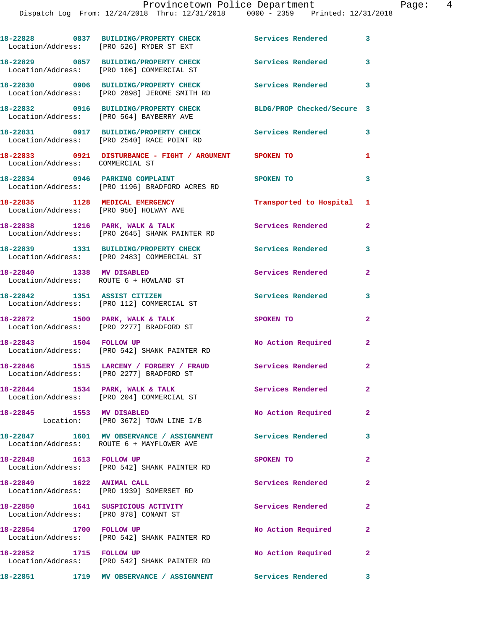|                                                                            | 18-22828 0837 BUILDING/PROPERTY CHECK<br>Location/Address: [PRO 526] RYDER ST EXT                       | Services Rendered 3        |                         |
|----------------------------------------------------------------------------|---------------------------------------------------------------------------------------------------------|----------------------------|-------------------------|
|                                                                            | 18-22829 0857 BUILDING/PROPERTY CHECK<br>Location/Address: [PRO 106] COMMERCIAL ST                      | Services Rendered          | 3                       |
|                                                                            | 18-22830 0906 BUILDING/PROPERTY CHECK<br>Location/Address: [PRO 2898] JEROME SMITH RD                   | <b>Services Rendered</b>   | $\overline{\mathbf{3}}$ |
|                                                                            | 18-22832 0916 BUILDING/PROPERTY CHECK<br>Location/Address: [PRO 564] BAYBERRY AVE                       | BLDG/PROP Checked/Secure 3 |                         |
|                                                                            | 18-22831 0917 BUILDING/PROPERTY CHECK<br>Location/Address: [PRO 2540] RACE POINT RD                     | <b>Services Rendered</b> 3 |                         |
| Location/Address: COMMERCIAL ST                                            | 18-22833 0921 DISTURBANCE - FIGHT / ARGUMENT SPOKEN TO                                                  |                            | 1                       |
|                                                                            | 18-22834 0946 PARKING COMPLAINT<br>Location/Address: [PRO 1196] BRADFORD ACRES RD                       | SPOKEN TO                  | 3                       |
| 18-22835 1128 MEDICAL EMERGENCY                                            | Location/Address: [PRO 950] HOLWAY AVE                                                                  | Transported to Hospital 1  |                         |
|                                                                            | 18-22838 1216 PARK, WALK & TALK<br>Location/Address: [PRO 2645] SHANK PAINTER RD                        | Services Rendered          | $\mathbf{2}$            |
|                                                                            | 18-22839 1331 BUILDING/PROPERTY CHECK<br>Location/Address: [PRO 2483] COMMERCIAL ST                     | Services Rendered          | $\mathbf{3}$            |
| 18-22840 1338 MV DISABLED                                                  | Location/Address: ROUTE 6 + HOWLAND ST                                                                  | Services Rendered          | $\mathbf{2}$            |
| 18-22842 1351 ASSIST CITIZEN                                               |                                                                                                         | Services Rendered          | 3                       |
|                                                                            | Location/Address: [PRO 112] COMMERCIAL ST<br>18-22872 1500 PARK, WALK & TALK                            | SPOKEN TO                  | $\mathbf{2}$            |
| 18-22843 1504 FOLLOW UP                                                    | Location/Address: [PRO 2277] BRADFORD ST                                                                | No Action Required         | $\mathbf{2}$            |
|                                                                            | Location/Address: [PRO 542] SHANK PAINTER RD<br>18-22846 1515 LARCENY / FORGERY / FRAUD                 | Services Rendered 2        |                         |
|                                                                            | Location/Address: [PRO 2277] BRADFORD ST                                                                |                            |                         |
|                                                                            | 18-22844 1534 PARK, WALK & TALK<br>Location/Address: [PRO 204] COMMERCIAL ST                            | Services Rendered          | $\mathbf{2}$            |
| 18-22845 1553 MV DISABLED                                                  | Location: [PRO 3672] TOWN LINE I/B                                                                      | No Action Required         | $\mathbf{2}$            |
|                                                                            | 18-22847 1601 MV OBSERVANCE / ASSIGNMENT Services Rendered<br>Location/Address: ROUTE 6 + MAYFLOWER AVE |                            | $\mathbf{3}$            |
| 18-22848 1613 FOLLOW UP                                                    | Location/Address: [PRO 542] SHANK PAINTER RD                                                            | SPOKEN TO                  | $\mathbf{2}$            |
| 18-22849 1622 ANIMAL CALL                                                  | Location/Address: [PRO 1939] SOMERSET RD                                                                | Services Rendered          | $\mathbf{2}$            |
| 18-22850 1641 SUSPICIOUS ACTIVITY<br>Location/Address: [PRO 878] CONANT ST |                                                                                                         | Services Rendered          | $\mathbf{2}$            |
| 18-22854 1700 FOLLOW UP                                                    | Location/Address: [PRO 542] SHANK PAINTER RD                                                            | No Action Required         | $\mathbf{2}$            |
| 18-22852 1715 FOLLOW UP                                                    | Location/Address: [PRO 542] SHANK PAINTER RD                                                            | No Action Required         | $\mathbf{2}$            |
|                                                                            | 18-22851 1719 MV OBSERVANCE / ASSIGNMENT Services Rendered 3                                            |                            |                         |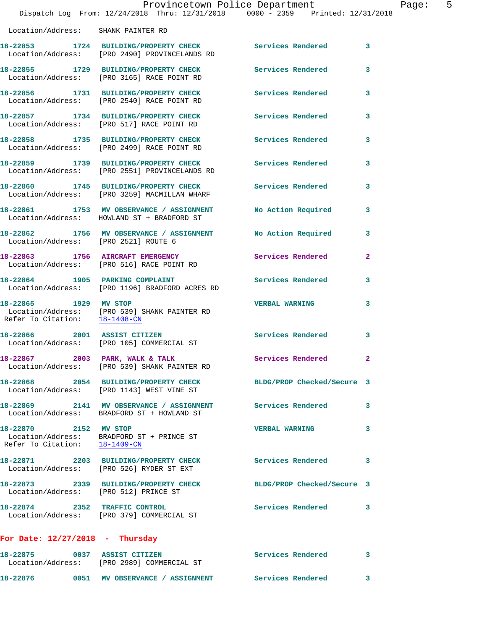|                                                        | Provincetown Police Department<br>Dispatch Log From: 12/24/2018 Thru: 12/31/2018 0000 - 2359 Printed: 12/31/2018 |                            |              |
|--------------------------------------------------------|------------------------------------------------------------------------------------------------------------------|----------------------------|--------------|
| Location/Address: SHANK PAINTER RD                     |                                                                                                                  |                            |              |
|                                                        | 18-22853 1724 BUILDING/PROPERTY CHECK Services Rendered<br>Location/Address: [PRO 2490] PROVINCELANDS RD         |                            | 3            |
|                                                        | 18-22855 1729 BUILDING/PROPERTY CHECK Services Rendered<br>Location/Address: [PRO 3165] RACE POINT RD            |                            | 3            |
|                                                        | 18-22856 1731 BUILDING/PROPERTY CHECK<br>Location/Address: [PRO 2540] RACE POINT RD                              | <b>Services Rendered</b>   | 3            |
|                                                        | 18-22857 1734 BUILDING/PROPERTY CHECK<br>Location/Address: [PRO 517] RACE POINT RD                               | <b>Services Rendered</b>   | 3            |
|                                                        | 18-22858 1735 BUILDING/PROPERTY CHECK<br>Location/Address: [PRO 2499] RACE POINT RD                              | Services Rendered          | 3            |
|                                                        | 18-22859 1739 BUILDING/PROPERTY CHECK Services Rendered<br>Location/Address: [PRO 2551] PROVINCELANDS RD         |                            | 3            |
|                                                        | 18-22860 1745 BUILDING/PROPERTY CHECK<br>Location/Address: [PRO 3259] MACMILLAN WHARF                            | Services Rendered          | 3            |
|                                                        | 18-22861 1753 MV OBSERVANCE / ASSIGNMENT<br>Location/Address: HOWLAND ST + BRADFORD ST                           | No Action Required         | 3            |
| Location/Address: [PRO 2521] ROUTE 6                   | 18-22862 1756 MV OBSERVANCE / ASSIGNMENT No Action Required                                                      |                            | 3            |
|                                                        | 18-22863 1756 AIRCRAFT EMERGENCY<br>Location/Address: [PRO 516] RACE POINT RD                                    | Services Rendered          | $\mathbf{2}$ |
| 18-22864 1905 PARKING COMPLAINT                        | Location/Address: [PRO 1196] BRADFORD ACRES RD                                                                   | Services Rendered          | 3            |
| 18-22865 1929 MV STOP<br>Refer To Citation: 18-1408-CN | Location/Address: [PRO 539] SHANK PAINTER RD                                                                     | <b>VERBAL WARNING</b>      | 3            |
|                                                        | 18-22866 2001 ASSIST CITIZEN<br>Location/Address: [PRO 105] COMMERCIAL ST                                        | Services Rendered          | 3            |
|                                                        | 18-22867 2003 PARK, WALK & TALK<br>Location/Address: [PRO 539] SHANK PAINTER RD                                  | Services Rendered          | $\mathbf{2}$ |
|                                                        | 18-22868 2054 BUILDING/PROPERTY CHECK<br>Location/Address: [PRO 1143] WEST VINE ST                               | BLDG/PROP Checked/Secure 3 |              |
|                                                        | 18-22869 2141 MV OBSERVANCE / ASSIGNMENT<br>Location/Address: BRADFORD ST + HOWLAND ST                           | Services Rendered          | 3            |
| 18-22870 2152 MV STOP                                  | Location/Address: BRADFORD ST + PRINCE ST<br>Refer To Citation: 18-1409-CN                                       | <b>VERBAL WARNING</b>      | 3            |
|                                                        | 18-22871 2203 BUILDING/PROPERTY CHECK<br>Location/Address: [PRO 526] RYDER ST EXT                                | <b>Services Rendered</b>   | 3            |
| Location/Address: [PRO 512] PRINCE ST                  | 18-22873 2339 BUILDING/PROPERTY CHECK                                                                            | BLDG/PROP Checked/Secure 3 |              |
|                                                        | 18-22874 2352 TRAFFIC CONTROL<br>Location/Address: [PRO 379] COMMERCIAL ST                                       | Services Rendered          | 3            |
| For Date: $12/27/2018$ - Thursday                      |                                                                                                                  |                            |              |
| 18-22875 0037 ASSIST CITIZEN                           | Location/Address: [PRO 2989] COMMERCIAL ST                                                                       | Services Rendered          | 3            |

**18-22876 0051 MV OBSERVANCE / ASSIGNMENT Services Rendered 3** 

Page: 5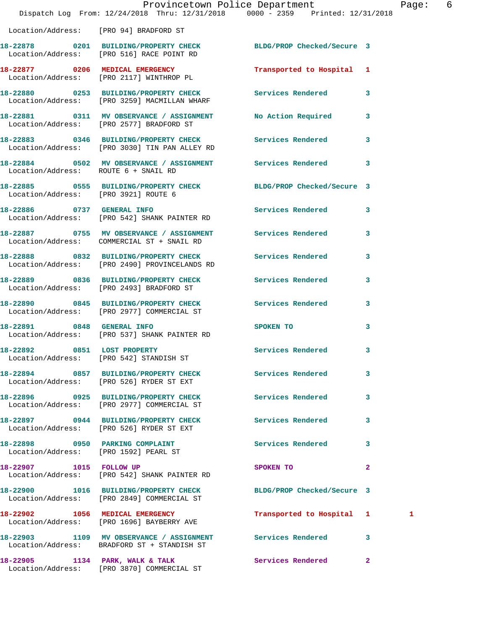|                                      | Provincetown Police Department<br>Dispatch Log From: 12/24/2018 Thru: 12/31/2018 0000 - 2359 Printed: 12/31/2018 |                           |              | Page: 6 |  |
|--------------------------------------|------------------------------------------------------------------------------------------------------------------|---------------------------|--------------|---------|--|
|                                      | Location/Address: [PRO 94] BRADFORD ST                                                                           |                           |              |         |  |
|                                      | 18-22878 0201 BUILDING/PROPERTY CHECK BLDG/PROP Checked/Secure 3<br>Location/Address: [PRO 516] RACE POINT RD    |                           |              |         |  |
|                                      | 18-22877 0206 MEDICAL EMERGENCY<br>Location/Address: [PRO 2117] WINTHROP PL                                      | Transported to Hospital 1 |              |         |  |
|                                      | 18-22880 0253 BUILDING/PROPERTY CHECK Services Rendered 3<br>Location/Address: [PRO 3259] MACMILLAN WHARF        |                           |              |         |  |
|                                      | 18-22881 0311 MV OBSERVANCE / ASSIGNMENT No Action Required 3<br>Location/Address: [PRO 2577] BRADFORD ST        |                           |              |         |  |
|                                      | 18-22883 0346 BUILDING/PROPERTY CHECK Services Rendered 3<br>Location/Address: [PRO 3030] TIN PAN ALLEY RD       |                           |              |         |  |
| Location/Address: ROUTE 6 + SNAIL RD | 18-22884 0502 MV OBSERVANCE / ASSIGNMENT Services Rendered 3                                                     |                           |              |         |  |
| Location/Address: [PRO 3921] ROUTE 6 | 18-22885 0555 BUILDING/PROPERTY CHECK BLDG/PROP Checked/Secure 3                                                 |                           |              |         |  |
|                                      | 18-22886 0737 GENERAL INFO<br>Location/Address: [PRO 542] SHANK PAINTER RD                                       | Services Rendered 3       |              |         |  |
|                                      | 18-22887 0755 MV OBSERVANCE / ASSIGNMENT Services Rendered 3<br>Location/Address: COMMERCIAL ST + SNAIL RD       |                           |              |         |  |
|                                      | 18-22888 0832 BUILDING/PROPERTY CHECK<br>Location/Address: [PRO 2490] PROVINCELANDS RD                           | Services Rendered         | $\mathbf{3}$ |         |  |
|                                      | 18-22889 0836 BUILDING/PROPERTY CHECK Services Rendered 3<br>Location/Address: [PRO 2493] BRADFORD ST            |                           |              |         |  |
|                                      | 18-22890 0845 BUILDING/PROPERTY CHECK Services Rendered 3<br>Location/Address: [PRO 2977] COMMERCIAL ST          |                           |              |         |  |
| 18-22891 0848 GENERAL INFO           | Location/Address: [PRO 537] SHANK PAINTER RD                                                                     | SPOKEN TO                 | 3            |         |  |
|                                      | 18-22892 0851 LOST PROPERTY<br>Location/Address: [PRO 542] STANDISH ST                                           | Services Rendered         | $\mathbf{3}$ |         |  |
|                                      | 18-22894 0857 BUILDING/PROPERTY CHECK Services Rendered<br>Location/Address: [PRO 526] RYDER ST EXT              |                           | $\mathbf{3}$ |         |  |
|                                      | 18-22896 0925 BUILDING/PROPERTY CHECK<br>Location/Address: [PRO 2977] COMMERCIAL ST                              | Services Rendered 3       |              |         |  |
|                                      | 18-22897 0944 BUILDING/PROPERTY CHECK Services Rendered 3<br>Location/Address: [PRO 526] RYDER ST EXT            |                           |              |         |  |
|                                      | 18-22898 0950 PARKING COMPLAINT<br>Location/Address: [PRO 1592] PEARL ST                                         | Services Rendered 3       |              |         |  |
| 18-22907 1015 FOLLOW UP              | Location/Address: [PRO 542] SHANK PAINTER RD                                                                     | SPOKEN TO                 | $\mathbf{2}$ |         |  |
|                                      | 18-22900 1016 BUILDING/PROPERTY CHECK BLDG/PROP Checked/Secure 3<br>Location/Address: [PRO 2849] COMMERCIAL ST   |                           |              |         |  |
|                                      | 18-22902 1056 MEDICAL EMERGENCY<br>Location/Address: [PRO 1696] BAYBERRY AVE                                     | Transported to Hospital 1 |              | 1       |  |
|                                      | 18-22903 1109 MV OBSERVANCE / ASSIGNMENT Services Rendered 3<br>Location/Address: BRADFORD ST + STANDISH ST      |                           |              |         |  |
|                                      | 18-22905 1134 PARK, WALK & TALK<br>Location/Address: [PRO 3870] COMMERCIAL ST                                    | Services Rendered 2       |              |         |  |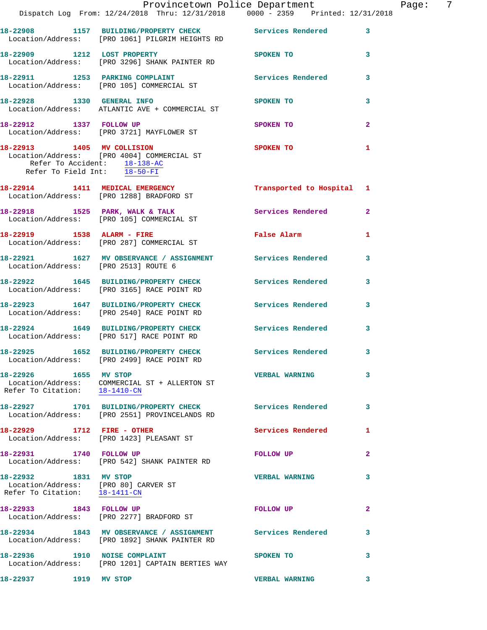|                                                                                                | Dispatch Log From: 12/24/2018 Thru: 12/31/2018 0000 - 2359 Printed: 12/31/2018                              | Provincetown Police Department                      |              | Page: $7$ |  |
|------------------------------------------------------------------------------------------------|-------------------------------------------------------------------------------------------------------------|-----------------------------------------------------|--------------|-----------|--|
|                                                                                                |                                                                                                             |                                                     |              |           |  |
|                                                                                                | 18-22908 1157 BUILDING/PROPERTY CHECK Services Rendered<br>Location/Address: [PRO 1061] PILGRIM HEIGHTS RD  |                                                     | $\mathbf{3}$ |           |  |
| 18-22909 1212 LOST PROPERTY                                                                    | Location/Address: [PRO 3296] SHANK PAINTER RD                                                               | SPOKEN TO                                           | 3            |           |  |
|                                                                                                | 18-22911 1253 PARKING COMPLAINT<br>Location/Address: [PRO 105] COMMERCIAL ST                                | Services Rendered                                   | 3            |           |  |
| 18-22928 1330 GENERAL INFO                                                                     | Location/Address: ATLANTIC AVE + COMMERCIAL ST                                                              | SPOKEN TO                                           | 3            |           |  |
|                                                                                                | 18-22912 1337 FOLLOW UP<br>Location/Address: [PRO 3721] MAYFLOWER ST                                        | SPOKEN TO                                           | $\mathbf{2}$ |           |  |
| Refer To Accident: 18-138-AC<br>Refer To Field Int: 18-50-FI                                   | 18-22913 1405 MV COLLISION<br>Location/Address: [PRO 4004] COMMERCIAL ST                                    | <b>SPOKEN TO</b>                                    | $\mathbf{1}$ |           |  |
|                                                                                                | 18-22914 1411 MEDICAL EMERGENCY<br>Location/Address: [PRO 1288] BRADFORD ST                                 | Transported to Hospital 1                           |              |           |  |
|                                                                                                |                                                                                                             | Services Rendered                                   | $\mathbf{2}$ |           |  |
|                                                                                                | 18-22919 1538 ALARM - FIRE<br>Location/Address: [PRO 287] COMMERCIAL ST                                     | False Alarm <b>Exercise Service Service Service</b> | 1            |           |  |
|                                                                                                | 18-22921 1627 MV OBSERVANCE / ASSIGNMENT Services Rendered<br>Location/Address: [PRO 2513] ROUTE 6          |                                                     | 3            |           |  |
|                                                                                                | 18-22922 1645 BUILDING/PROPERTY CHECK Services Rendered<br>Location/Address: [PRO 3165] RACE POINT RD       |                                                     | 3            |           |  |
|                                                                                                | 18-22923 1647 BUILDING/PROPERTY CHECK Services Rendered 3<br>Location/Address: [PRO 2540] RACE POINT RD     |                                                     |              |           |  |
|                                                                                                | 18-22924 1649 BUILDING/PROPERTY CHECK Services Rendered<br>Location/Address: [PRO 517] RACE POINT RD        |                                                     | 3            |           |  |
|                                                                                                | 18-22925 1652 BUILDING/PROPERTY CHECK Services Rendered 3<br>Location/Address: [PRO 2499] RACE POINT RD     |                                                     |              |           |  |
| 18-22926 1655 MV STOP<br>Refer To Citation: 18-1410-CN                                         | Location/Address: COMMERCIAL ST + ALLERTON ST                                                               | <b>VERBAL WARNING</b>                               | 3            |           |  |
|                                                                                                | 18-22927 1701 BUILDING/PROPERTY CHECK<br>Location/Address: [PRO 2551] PROVINCELANDS RD                      | Services Rendered                                   | 3            |           |  |
| 18-22929 1712 FIRE - OTHER                                                                     | Location/Address: [PRO 1423] PLEASANT ST                                                                    | Services Rendered                                   | 1            |           |  |
| 18-22931 1740 FOLLOW UP                                                                        | Location/Address: [PRO 542] SHANK PAINTER RD                                                                | FOLLOW UP                                           | 2            |           |  |
| 18-22932 1831 MV STOP<br>Location/Address: [PRO 80] CARVER ST<br>Refer To Citation: 18-1411-CN |                                                                                                             | <b>VERBAL WARNING</b>                               | 3            |           |  |
| 18-22933 1843 FOLLOW UP                                                                        | Location/Address: [PRO 2277] BRADFORD ST                                                                    | <b>FOLLOW UP</b>                                    | $\mathbf{2}$ |           |  |
|                                                                                                | 18-22934 1843 MV OBSERVANCE / ASSIGNMENT Services Rendered<br>Location/Address: [PRO 1892] SHANK PAINTER RD |                                                     | 3            |           |  |
| 18-22936 1910 NOISE COMPLAINT                                                                  | Location/Address: [PRO 1201] CAPTAIN BERTIES WAY                                                            | SPOKEN TO                                           | 3            |           |  |
| 18-22937                                                                                       | 1919 MV STOP                                                                                                | <b>VERBAL WARNING</b>                               | 3            |           |  |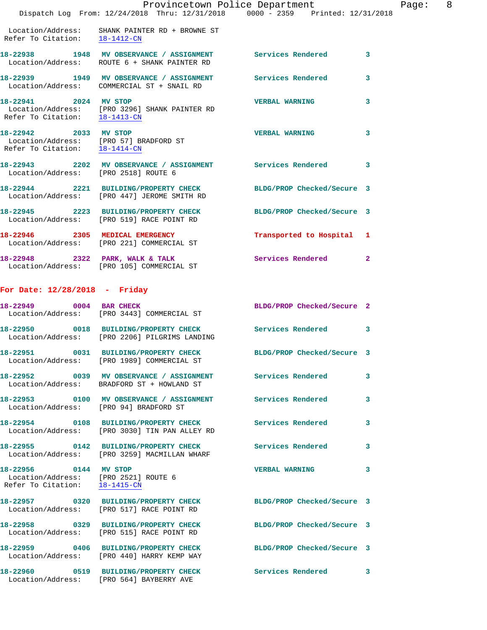|                                                        | Provincetown Police Department<br>Dispatch Log From: 12/24/2018 Thru: 12/31/2018 0000 - 2359 Printed: 12/31/2018 |                            |              |
|--------------------------------------------------------|------------------------------------------------------------------------------------------------------------------|----------------------------|--------------|
| Refer To Citation: 18-1412-CN                          | Location/Address: SHANK PAINTER RD + BROWNE ST                                                                   |                            |              |
|                                                        | 18-22938 1948 MV OBSERVANCE / ASSIGNMENT Services Rendered<br>Location/Address: ROUTE 6 + SHANK PAINTER RD       |                            | 3            |
|                                                        | 18-22939 1949 MV OBSERVANCE / ASSIGNMENT Services Rendered<br>Location/Address: COMMERCIAL ST + SNAIL RD         |                            | 3            |
| 18-22941 2024 MV STOP<br>Refer To Citation: 18-1413-CN | Location/Address: [PRO 3296] SHANK PAINTER RD                                                                    | <b>VERBAL WARNING</b>      | 3            |
| 18-22942 2033 MV STOP<br>Refer To Citation: 18-1414-CN | Location/Address: [PRO 57] BRADFORD ST                                                                           | <b>VERBAL WARNING</b>      | 3            |
| Location/Address: [PRO 2518] ROUTE 6                   | 18-22943 2202 MV OBSERVANCE / ASSIGNMENT Services Rendered                                                       |                            | 3            |
|                                                        | 18-22944 2221 BUILDING/PROPERTY CHECK<br>Location/Address: [PRO 447] JEROME SMITH RD                             | BLDG/PROP Checked/Secure 3 |              |
|                                                        | 18-22945 2223 BUILDING/PROPERTY CHECK<br>Location/Address: [PRO 519] RACE POINT RD                               | BLDG/PROP Checked/Secure 3 |              |
|                                                        | 18-22946 2305 MEDICAL EMERGENCY<br>Location/Address: [PRO 221] COMMERCIAL ST                                     | Transported to Hospital    | 1            |
|                                                        | 18-22948 2322 PARK, WALK & TALK<br>Location/Address: [PRO 105] COMMERCIAL ST                                     | <b>Services Rendered</b>   | $\mathbf{2}$ |
| For Date: $12/28/2018$ - Friday                        |                                                                                                                  |                            |              |
| 18-22949 0004 BAR CHECK                                | Location/Address: [PRO 3443] COMMERCIAL ST                                                                       | BLDG/PROP Checked/Secure 2 |              |
|                                                        | 18-22950 0018 BUILDING/PROPERTY CHECK<br>Location/Address: [PRO 2206] PILGRIMS LANDING                           | Services Rendered          | 3            |
| 0031<br>18-22951                                       | <b>BUILDING/PROPERTY CHECK</b><br>Location/Address: [PRO 1989] COMMERCIAL ST                                     | BLDG/PROP Checked/Secure 3 |              |
|                                                        | 18-22952 0039 MV OBSERVANCE / ASSIGNMENT Services Rendered<br>Location/Address: BRADFORD ST + HOWLAND ST         |                            | 3            |
|                                                        | 18-22953 0100 MV OBSERVANCE / ASSIGNMENT Services Rendered<br>Location/Address: [PRO 94] BRADFORD ST             |                            | 3            |
|                                                        | 18-22954 0108 BUILDING/PROPERTY CHECK Services Rendered<br>Location/Address: [PRO 3030] TIN PAN ALLEY RD         |                            | 3            |
|                                                        | 18-22955 0142 BUILDING/PROPERTY CHECK Services Rendered<br>Location/Address: [PRO 3259] MACMILLAN WHARF          |                            | 3            |
| 18-22956 0144 MV STOP                                  | Location/Address: [PRO 2521] ROUTE 6<br>Refer To Citation: 18-1415-CN                                            | <b>VERBAL WARNING</b>      | 3            |
|                                                        | 18-22957 0320 BUILDING/PROPERTY CHECK<br>Location/Address: [PRO 517] RACE POINT RD                               | BLDG/PROP Checked/Secure 3 |              |
|                                                        | 18-22958 0329 BUILDING/PROPERTY CHECK<br>Location/Address: [PRO 515] RACE POINT RD                               | BLDG/PROP Checked/Secure 3 |              |
|                                                        | 18-22959 0406 BUILDING/PROPERTY CHECK<br>Location/Address: [PRO 440] HARRY KEMP WAY                              | BLDG/PROP Checked/Secure 3 |              |
|                                                        | 18-22960 0519 BUILDING/PROPERTY CHECK                                                                            | <b>Services Rendered</b>   | 3            |

Location/Address: [PRO 564] BAYBERRY AVE

Page: 8<br>2018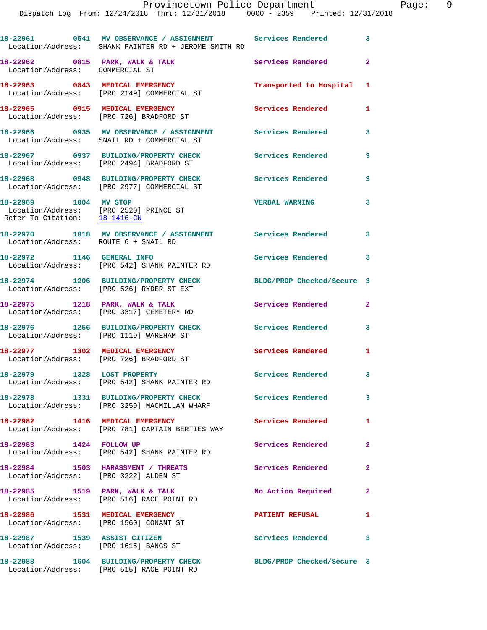**18-22961 0541 MV OBSERVANCE / ASSIGNMENT Services Rendered 3**  Location/Address: SHANK PAINTER RD + JEROME SMITH RD 18-22962 0815 PARK, WALK & TALK **Services Rendered** 2 Location/Address: COMMERCIAL ST **18-22963 0843 MEDICAL EMERGENCY Transported to Hospital 1**  Location/Address: [PRO 2149] COMMERCIAL ST **18-22965 0915 MEDICAL EMERGENCY Services Rendered 1**  Location/Address: [PRO 726] BRADFORD ST **18-22966 0935 MV OBSERVANCE / ASSIGNMENT Services Rendered 3**  Location/Address: SNAIL RD + COMMERCIAL ST **18-22967 0937 BUILDING/PROPERTY CHECK Services Rendered 3**  Location/Address: [PRO 2494] BRADFORD ST **18-22968 0948 BUILDING/PROPERTY CHECK Services Rendered 3**  Location/Address: [PRO 2977] COMMERCIAL ST **18-22969 1004 MV STOP VERBAL WARNING 3**  Location/Address: [PRO 2520] PRINCE ST Refer To Citation: 18-1416-CN **18-22970 1018 MV OBSERVANCE / ASSIGNMENT Services Rendered 3**  Location/Address: ROUTE 6 + SNAIL RD **18-22972 1146 GENERAL INFO Services Rendered 3**  Location/Address: [PRO 542] SHANK PAINTER RD **18-22974 1206 BUILDING/PROPERTY CHECK BLDG/PROP Checked/Secure 3**  Location/Address: [PRO 526] RYDER ST EXT **18-22975 1218 PARK, WALK & TALK Services Rendered 2**  Location/Address: [PRO 3317] CEMETERY RD **18-22976 1256 BUILDING/PROPERTY CHECK Services Rendered 3**  Location/Address: [PRO 1119] WAREHAM ST **18-22977 1302 MEDICAL EMERGENCY Services Rendered 1**  Location/Address: [PRO 726] BRADFORD ST 18-22979 1328 LOST PROPERTY **18-22979** Services Rendered 3 Location/Address: [PRO 542] SHANK PAINTER RD **18-22978 1331 BUILDING/PROPERTY CHECK Services Rendered 3**  Location/Address: [PRO 3259] MACMILLAN WHARF **18-22982 1416 MEDICAL EMERGENCY Services Rendered 1**  Location/Address: [PRO 781] CAPTAIN BERTIES WAY **18-22983 1424 FOLLOW UP Services Rendered 2**  Location/Address: [PRO 542] SHANK PAINTER RD **18-22984 1503 HARASSMENT / THREATS Services Rendered 2**  Location/Address: [PRO 3222] ALDEN ST **18-22985 1519 PARK, WALK & TALK No Action Required 2**  Location/Address: [PRO 516] RACE POINT RD **18-22986 1531 MEDICAL EMERGENCY PATIENT REFUSAL 1**  Location/Address: [PRO 1560] CONANT ST **18-22987 1539 ASSIST CITIZEN Services Rendered 3** 

Location/Address: [PRO 1615] BANGS ST

**18-22988 1604 BUILDING/PROPERTY CHECK BLDG/PROP Checked/Secure 3**  Location/Address: [PRO 515] RACE POINT RD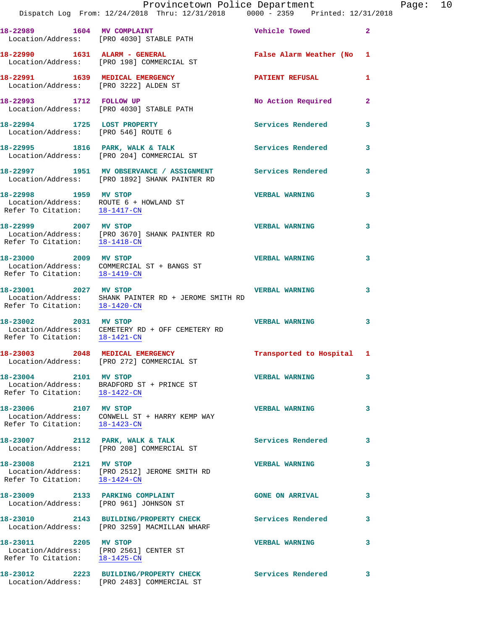|                                                                                                  | Provincetown Police Department<br>Dispatch Log From: 12/24/2018 Thru: 12/31/2018 0000 - 2359 Printed: 12/31/2018 |                          |              |
|--------------------------------------------------------------------------------------------------|------------------------------------------------------------------------------------------------------------------|--------------------------|--------------|
|                                                                                                  | 18-22989 1604 MV COMPLAINT<br>Location/Address: [PRO 4030] STABLE PATH                                           | Vehicle Towed            | $\mathbf{2}$ |
| 18-22990 1631 ALARM - GENERAL                                                                    | Location/Address: [PRO 198] COMMERCIAL ST                                                                        | False Alarm Weather (No  | 1            |
| 18-22991 1639 MEDICAL EMERGENCY<br>Location/Address: [PRO 3222] ALDEN ST                         |                                                                                                                  | <b>PATIENT REFUSAL</b>   | 1            |
| 18-22993 1712 FOLLOW UP                                                                          | Location/Address: [PRO 4030] STABLE PATH                                                                         | No Action Required       | $\mathbf{2}$ |
| 18-22994 1725 LOST PROPERTY<br>Location/Address: [PRO 546] ROUTE 6                               |                                                                                                                  | <b>Services Rendered</b> | 3            |
|                                                                                                  | 18-22995 1816 PARK, WALK & TALK<br>Location/Address: [PRO 204] COMMERCIAL ST                                     | Services Rendered        | 3            |
|                                                                                                  | 18-22997 1951 MV OBSERVANCE / ASSIGNMENT<br>Location/Address: [PRO 1892] SHANK PAINTER RD                        | <b>Services Rendered</b> | 3            |
| 18-22998 1959 MV STOP<br>Location/Address: ROUTE 6 + HOWLAND ST<br>Refer To Citation: 18-1417-CN |                                                                                                                  | <b>VERBAL WARNING</b>    | 3            |
| 18-22999 2007 MV STOP<br>Refer To Citation: 18-1418-CN                                           | Location/Address: [PRO 3670] SHANK PAINTER RD                                                                    | <b>VERBAL WARNING</b>    | 3            |
| 18-23000 2009 MV STOP<br>Refer To Citation: 18-1419-CN                                           | Location/Address: COMMERCIAL ST + BANGS ST                                                                       | <b>VERBAL WARNING</b>    | 3            |
| 18-23001 2027 MV STOP                                                                            | Location/Address: SHANK PAINTER RD + JEROME SMITH RD<br>Refer To Citation: $18-1420$ -CN                         | <b>VERBAL WARNING</b>    | 3            |
| 2031 MV STOP<br>18-23002<br>Refer To Citation: 18-1421-CN                                        | Location/Address: CEMETERY RD + OFF CEMETERY RD                                                                  | <b>VERBAL WARNING</b>    | 3            |
| 18-23003 2048 MEDICAL EMERGENCY                                                                  | Location/Address: [PRO 272] COMMERCIAL ST                                                                        | Transported to Hospital  | 1            |
| 18-23004 2101 MV STOP<br>Refer To Citation: 18-1422-CN                                           | Location/Address: BRADFORD ST + PRINCE ST                                                                        | <b>VERBAL WARNING</b>    | 3            |
| 18-23006 2107 MV STOP                                                                            | Location/Address: CONWELL ST + HARRY KEMP WAY<br>Refer To Citation: 18-1423-CN                                   | <b>VERBAL WARNING</b>    | 3            |
|                                                                                                  | 18-23007 2112 PARK, WALK & TALK<br>Location/Address: [PRO 208] COMMERCIAL ST                                     | <b>Services Rendered</b> | 3            |
| 18-23008 2121 MV STOP<br>Refer To Citation: 18-1424-CN                                           | Location/Address: [PRO 2512] JEROME SMITH RD                                                                     | <b>VERBAL WARNING</b>    | 3            |
| 18-23009 2133 PARKING COMPLAINT                                                                  | Location/Address: [PRO 961] JOHNSON ST                                                                           | <b>GONE ON ARRIVAL</b>   | 3            |
| 18-23010                                                                                         | 2143 BUILDING/PROPERTY CHECK<br>Location/Address: [PRO 3259] MACMILLAN WHARF                                     | Services Rendered        | 3            |
| 18-23011 2205 MV STOP<br>Location/Address: [PRO 2561] CENTER ST<br>Refer To Citation: 18-1425-CN |                                                                                                                  | <b>VERBAL WARNING</b>    | 3            |
|                                                                                                  |                                                                                                                  |                          |              |

**18-23012 2223 BUILDING/PROPERTY CHECK Services Rendered 3**  Location/Address: [PRO 2483] COMMERCIAL ST

Page:  $10$ <br> $18$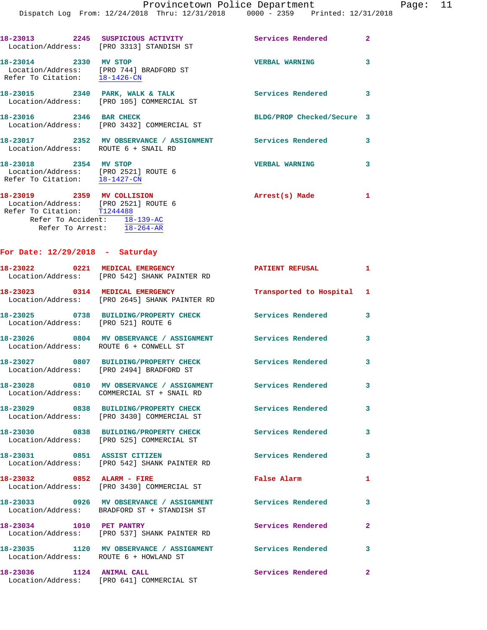|                                                                                                                                                                 | 18-23013 2245 SUSPICIOUS ACTIVITY<br>Location/Address: [PRO 3313] STANDISH ST    | Services Rendered          | $\overline{2}$          |
|-----------------------------------------------------------------------------------------------------------------------------------------------------------------|----------------------------------------------------------------------------------|----------------------------|-------------------------|
| 18-23014 2330 MV STOP<br>Location/Address: [PRO 744] BRADFORD ST<br>Refer To Citation: 18-1426-CN                                                               |                                                                                  | <b>VERBAL WARNING</b>      | $\overline{\mathbf{3}}$ |
|                                                                                                                                                                 | 18-23015 2340 PARK, WALK & TALK<br>Location/Address: [PRO 105] COMMERCIAL ST     | Services Rendered 3        |                         |
| 18-23016 2346 BAR CHECK                                                                                                                                         | Location/Address: [PRO 3432] COMMERCIAL ST                                       | BLDG/PROP Checked/Secure 3 |                         |
| Location/Address: ROUTE 6 + SNAIL RD                                                                                                                            | 18-23017 2352 MV OBSERVANCE / ASSIGNMENT Services Rendered                       |                            | 3                       |
| 18-23018 2354 MV STOP<br>Location/Address: [PRO 2521] ROUTE 6<br>Refer To Citation: 18-1427-CN                                                                  |                                                                                  | <b>VERBAL WARNING</b>      | 3                       |
| 18-23019 2359 MV COLLISION<br>Location/Address: [PRO 2521] ROUTE 6<br>Refer To Citation: T1244488<br>Refer To Accident: 18-139-AC<br>Refer To Arrest: 18-264-AR |                                                                                  | Arrest(s) Made 1           |                         |
| For Date: $12/29/2018$ - Saturday                                                                                                                               |                                                                                  |                            |                         |
|                                                                                                                                                                 | 18-23022 0221 MEDICAL EMERGENCY<br>Location/Address: [PRO 542] SHANK PAINTER RD  | <b>PATIENT REFUSAL</b>     | $\mathbf{1}$            |
|                                                                                                                                                                 | 18-23023 0314 MEDICAL EMERGENCY<br>Location/Address: [PRO 2645] SHANK PAINTER RD | Transported to Hospital 1  |                         |
| Location/Address: [PRO 521] ROUTE 6                                                                                                                             | 18-23025 0738 BUILDING/PROPERTY CHECK Services Rendered                          |                            | $\overline{\mathbf{3}}$ |

**18-23026 0804 MV OBSERVANCE / ASSIGNMENT Services Rendered 3**  Location/Address: ROUTE 6 + CONWELL ST **18-23027 0807 BUILDING/PROPERTY CHECK Services Rendered 3**  Location/Address: [PRO 2494] BRADFORD ST **18-23028 0810 MV OBSERVANCE / ASSIGNMENT Services Rendered 3**  Location/Address: COMMERCIAL ST + SNAIL RD **18-23029 0838 BUILDING/PROPERTY CHECK Services Rendered 3**  Location/Address: [PRO 3430] COMMERCIAL ST **18-23030 0838 BUILDING/PROPERTY CHECK Services Rendered 3**  Location/Address: [PRO 525] COMMERCIAL ST **18-23031 0851 ASSIST CITIZEN Services Rendered 3**  Location/Address: [PRO 542] SHANK PAINTER RD **18-23032 0852 ALARM - FIRE False Alarm 1**  Location/Address: [PRO 3430] COMMERCIAL ST **18-23033 0926 MV OBSERVANCE / ASSIGNMENT Services Rendered 3** 

 Location/Address: BRADFORD ST + STANDISH ST **18-23034 1010 PET PANTRY Services Rendered 2**  Location/Address: [PRO 537] SHANK PAINTER RD **18-23035 1120 MV OBSERVANCE / ASSIGNMENT Services Rendered 3**  Location/Address: ROUTE 6 + HOWLAND ST **18-23036 1124 ANIMAL CALL Services Rendered 2**  Location/Address: [PRO 641] COMMERCIAL ST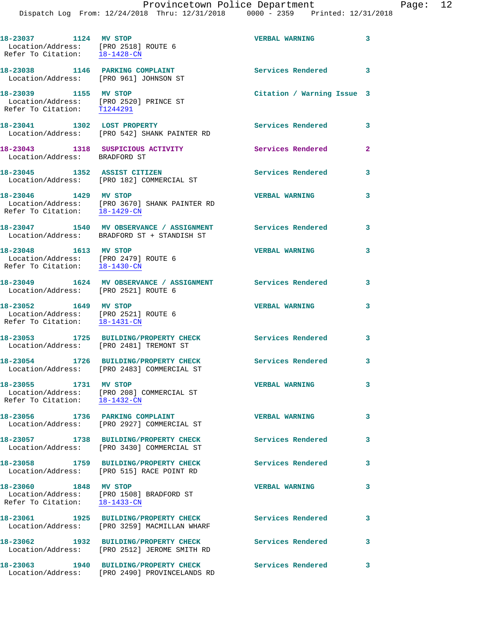|                                                                                                | Dispatch Log From: 12/24/2018 Thru: 12/31/2018 0000 - 2359 Printed: 12/31/2018                   |                            |              |
|------------------------------------------------------------------------------------------------|--------------------------------------------------------------------------------------------------|----------------------------|--------------|
| 18-23037 1124 MV STOP<br>Location/Address: [PRO 2518] ROUTE 6<br>Refer To Citation: 18-1428-CN |                                                                                                  | <b>VERBAL WARNING</b>      | 3            |
| 18-23038 1146 PARKING COMPLAINT<br>Location/Address: [PRO 961] JOHNSON ST                      |                                                                                                  | <b>Services Rendered</b>   | 3            |
| 18-23039 1155 MV STOP<br>Location/Address: [PRO 2520] PRINCE ST<br>Refer To Citation: T1244291 |                                                                                                  | Citation / Warning Issue 3 |              |
|                                                                                                | 18-23041 1302 LOST PROPERTY<br>Location/Address: [PRO 542] SHANK PAINTER RD                      | Services Rendered          | 3            |
| Location/Address: BRADFORD ST                                                                  | 18-23043 1318 SUSPICIOUS ACTIVITY                                                                | Services Rendered          | $\mathbf{2}$ |
|                                                                                                | 18-23045 1352 ASSIST CITIZEN<br>Location/Address: [PRO 182] COMMERCIAL ST                        | Services Rendered          | 3            |
| 18-23046 1429 MV STOP<br>Refer To Citation: 18-1429-CN                                         | Location/Address: [PRO 3670] SHANK PAINTER RD                                                    | <b>VERBAL WARNING</b>      | 3            |
| 18-23047                                                                                       | 1540 MV OBSERVANCE / ASSIGNMENT Services Rendered<br>Location/Address: BRADFORD ST + STANDISH ST |                            | 3            |
| 18-23048 1613 MV STOP<br>Location/Address: [PRO 2479] ROUTE 6<br>Refer To Citation: 18-1430-CN |                                                                                                  | <b>VERBAL WARNING</b>      | 3            |
| Location/Address: [PRO 2521] ROUTE 6                                                           | 18-23049      1624  MV OBSERVANCE / ASSIGNMENT      Services Rendered                            |                            | 3            |
| 18-23052 1649 MV STOP<br>Location/Address: [PRO 2521] ROUTE 6<br>Refer To Citation: 18-1431-CN |                                                                                                  | <b>VERBAL WARNING</b>      | 3            |
| Location/Address: [PRO 2481] TREMONT ST                                                        | 18-23053 1725 BUILDING/PROPERTY CHECK                                                            | Services Rendered          | 3            |
| 18-23054                                                                                       | 1726 BUILDING/PROPERTY CHECK<br>Location/Address: [PRO 2483] COMMERCIAL ST                       | Services Rendered          | 3            |
| 18-23055 1731 MV STOP                                                                          | Location/Address: [PRO 208] COMMERCIAL ST<br>Refer To Citation: 18-1432-CN                       | <b>VERBAL WARNING</b>      | 3            |
|                                                                                                | 18-23056 1736 PARKING COMPLAINT<br>Location/Address: [PRO 2927] COMMERCIAL ST                    | <b>VERBAL WARNING</b>      | 3            |
|                                                                                                | 18-23057 1738 BUILDING/PROPERTY CHECK<br>Location/Address: [PRO 3430] COMMERCIAL ST              | <b>Services Rendered</b>   | 3            |
|                                                                                                | 18-23058 1759 BUILDING/PROPERTY CHECK<br>Location/Address: [PRO 515] RACE POINT RD               | <b>Services Rendered</b>   | 3            |
| 18-23060 1848 MV STOP<br>Refer To Citation: 18-1433-CN                                         | Location/Address: [PRO 1508] BRADFORD ST                                                         | <b>VERBAL WARNING</b>      | 3            |
| 18-23061                                                                                       | 1925 BUILDING/PROPERTY CHECK<br>Location/Address: [PRO 3259] MACMILLAN WHARF                     | Services Rendered          | 3            |
|                                                                                                | 18-23062 1932 BUILDING/PROPERTY CHECK<br>Location/Address: [PRO 2512] JEROME SMITH RD            | <b>Services Rendered</b>   | 3            |
| 18-23063                                                                                       | 1940 BUILDING/PROPERTY CHECK                                                                     | Services Rendered          | 3            |

Location/Address: [PRO 2490] PROVINCELANDS RD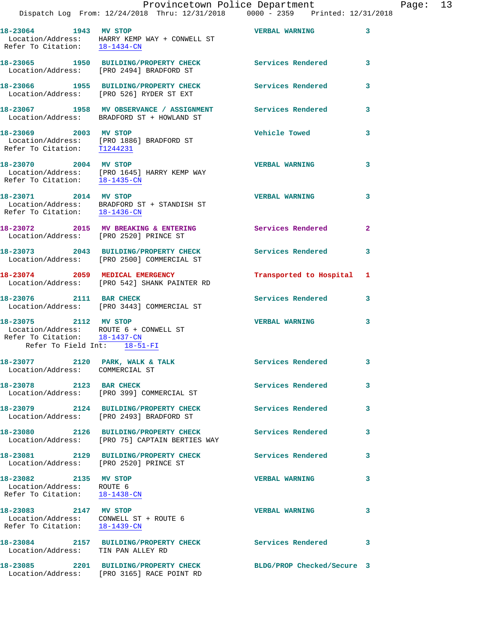|                                                                                                                                  | Provincetown Police Department                                                                           |                            |                |
|----------------------------------------------------------------------------------------------------------------------------------|----------------------------------------------------------------------------------------------------------|----------------------------|----------------|
|                                                                                                                                  | Dispatch Log From: 12/24/2018 Thru: 12/31/2018 0000 - 2359 Printed: 12/31/2018                           |                            |                |
| 18-23064 1943 MV STOP                                                                                                            | Location/Address: HARRY KEMP WAY + CONWELL ST<br>Refer To Citation: $\frac{18-1434-CN}{18}$              | <b>VERBAL WARNING</b>      | 3              |
|                                                                                                                                  | 18-23065 1950 BUILDING/PROPERTY CHECK Services Rendered<br>Location/Address: [PRO 2494] BRADFORD ST      |                            | 3              |
|                                                                                                                                  | 18-23066 1955 BUILDING/PROPERTY CHECK<br>Location/Address: [PRO 526] RYDER ST EXT                        | <b>Services Rendered</b>   | 3              |
|                                                                                                                                  | 18-23067 1958 MV OBSERVANCE / ASSIGNMENT Services Rendered<br>Location/Address: BRADFORD ST + HOWLAND ST |                            | 3              |
| 18-23069 2003 MV STOP<br>Refer To Citation: T1244231                                                                             | Location/Address: [PRO 1886] BRADFORD ST                                                                 | <b>Vehicle Towed</b>       | 3              |
| 18-23070 2004 MV STOP                                                                                                            | Location/Address: [PRO 1645] HARRY KEMP WAY<br>Refer To Citation: $18-1435$ -CN                          | <b>VERBAL WARNING</b>      | 3              |
| 18-23071 2014 MV STOP<br>Refer To Citation: $18-1436$ -CN                                                                        | Location/Address: BRADFORD ST + STANDISH ST                                                              | <b>VERBAL WARNING</b>      | 3              |
| Location/Address: [PRO 2520] PRINCE ST                                                                                           | 18-23072 2015 MV BREAKING & ENTERING                                                                     | Services Rendered          | $\overline{2}$ |
|                                                                                                                                  | 18-23073 2043 BUILDING/PROPERTY CHECK<br>Location/Address: [PRO 2500] COMMERCIAL ST                      | <b>Services Rendered</b>   | 3              |
|                                                                                                                                  | 18-23074 2059 MEDICAL EMERGENCY<br>Location/Address: [PRO 542] SHANK PAINTER RD                          | Transported to Hospital    | 1              |
| 18-23076 2111 BAR CHECK                                                                                                          | Location/Address: [PRO 3443] COMMERCIAL ST                                                               | Services Rendered          | 3              |
| 18-23075 2112 MV STOP<br>Location/Address: ROUTE 6 + CONWELL ST<br>Refer To Citation: 18-1437-CN<br>Refer To Field Int: 18-51-FI |                                                                                                          | <b>VERBAL WARNING</b>      | 3              |
| 18-23077 2120 PARK, WALK & TALK<br>Location/Address: COMMERCIAL ST                                                               |                                                                                                          | Services Rendered          | 3              |
| 18-23078 2123 BAR CHECK                                                                                                          | Location/Address: [PRO 399] COMMERCIAL ST                                                                | Services Rendered          | 3              |
|                                                                                                                                  | 18-23079 2124 BUILDING/PROPERTY CHECK<br>Location/Address: [PRO 2493] BRADFORD ST                        | <b>Services Rendered</b>   | 3              |
| 18-23080                                                                                                                         | 2126 BUILDING/PROPERTY CHECK<br>Location/Address: [PRO 75] CAPTAIN BERTIES WAY                           | <b>Services Rendered</b>   | 3              |
| Location/Address: [PRO 2520] PRINCE ST                                                                                           | 18-23081 2129 BUILDING/PROPERTY CHECK                                                                    | <b>Services Rendered</b>   | 3              |
| 18-23082 2135 MV STOP<br>Location/Address: ROUTE 6<br>Refer To Citation: 18-1438-CN                                              |                                                                                                          | <b>VERBAL WARNING</b>      | 3              |
| 18-23083 2147 MV STOP<br>Location/Address: CONWELL ST + ROUTE 6<br>Refer To Citation: 18-1439-CN                                 |                                                                                                          | <b>VERBAL WARNING</b>      | 3              |
| Location/Address: TIN PAN ALLEY RD                                                                                               | 18-23084 2157 BUILDING/PROPERTY CHECK                                                                    | <b>Services Rendered</b>   | 3              |
| 18-23085                                                                                                                         | 2201 BUILDING/PROPERTY CHECK                                                                             | BLDG/PROP Checked/Secure 3 |                |

Location/Address: [PRO 3165] RACE POINT RD

Page: 13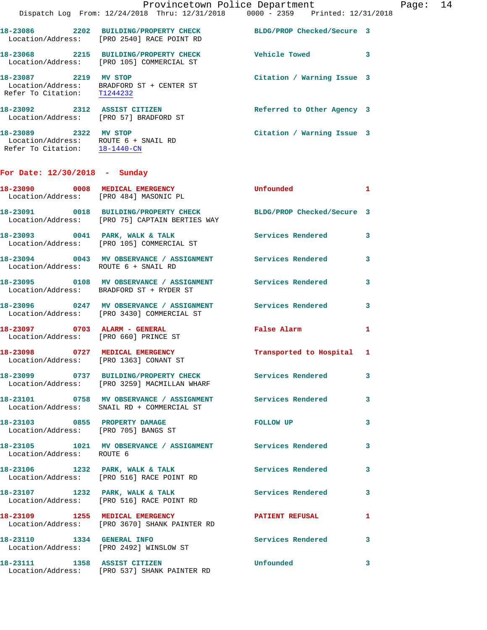|                                                          |      | Dispatch Log From: $12/24/2018$ Thru: $12/31/2018$                                 | 0000 - 2359 Printed: 12/31/2018 |                            |   |
|----------------------------------------------------------|------|------------------------------------------------------------------------------------|---------------------------------|----------------------------|---|
| 18-23086                                                 |      | 2202 BUILDING/PROPERTY CHECK<br>Location/Address: [PRO 2540] RACE POINT RD         |                                 | BLDG/PROP Checked/Secure 3 |   |
|                                                          |      | 18-23068 2215 BUILDING/PROPERTY CHECK<br>Location/Address: [PRO 105] COMMERCIAL ST | <b>Vehicle Towed</b>            |                            | 3 |
| 18-23087 2219<br>Location/Address:<br>Refer To Citation: |      | MV STOP<br>BRADFORD ST + CENTER ST<br>T1244232                                     |                                 | Citation / Warning Issue 3 |   |
| 18-23092                                                 |      | 2312 ASSIST CITIZEN<br>Location/Address: [PRO 57] BRADFORD ST                      |                                 | Referred to Other Agency 3 |   |
| 18-23089                                                 | 2322 | MV STOP<br>Location/Address: ROUTE 6 + SNAIL RD                                    |                                 | Citation / Warning Issue 3 |   |

Provincetown Police Department Page: 14

**For Date: 12/30/2018 - Sunday**

Refer To Citation: 18-1440-CN

| 18-23090 0008 MEDICAL EMERGENCY      | Location/Address: [PRO 484] MASONIC PL                                                                             | Unfounded                 | $\mathbf{1}$            |
|--------------------------------------|--------------------------------------------------------------------------------------------------------------------|---------------------------|-------------------------|
|                                      | 18-23091 0018 BUILDING/PROPERTY CHECK BLDG/PROP Checked/Secure 3<br>Location/Address: [PRO 75] CAPTAIN BERTIES WAY |                           |                         |
| 18-23093 0041 PARK, WALK & TALK      | Location/Address: [PRO 105] COMMERCIAL ST                                                                          | Services Rendered         | $\mathbf{3}$            |
| Location/Address: ROUTE 6 + SNAIL RD | 18-23094 0043 MV OBSERVANCE / ASSIGNMENT Services Rendered                                                         |                           | 3                       |
|                                      | 18-23095 0108 MV OBSERVANCE / ASSIGNMENT<br>Location/Address: BRADFORD ST + RYDER ST                               | <b>Services Rendered</b>  | $\overline{\mathbf{3}}$ |
|                                      | 18-23096 0247 MV OBSERVANCE / ASSIGNMENT Services Rendered 3<br>Location/Address: [PRO 3430] COMMERCIAL ST         |                           |                         |
| 18-23097 0703 ALARM - GENERAL        | Location/Address: [PRO 660] PRINCE ST                                                                              | False Alarm               | $\mathbf{1}$            |
|                                      | 18-23098 0727 MEDICAL EMERGENCY<br>Location/Address: [PRO 1363] CONANT ST                                          | Transported to Hospital 1 |                         |
|                                      | 18-23099 0737 BUILDING/PROPERTY CHECK<br>Location/Address: [PRO 3259] MACMILLAN WHARF                              | <b>Services Rendered</b>  | $\overline{\mathbf{3}}$ |
|                                      | 18-23101 0758 MV OBSERVANCE / ASSIGNMENT Services Rendered<br>Location/Address: SNAIL RD + COMMERCIAL ST           |                           | $\mathbf{3}$            |
| 18-23103 0855 PROPERTY DAMAGE        | Location/Address: [PRO 705] BANGS ST                                                                               | FOLLOW UP                 | $\mathbf{3}$            |
| Location/Address: ROUTE 6            | 18-23105 1021 MV OBSERVANCE / ASSIGNMENT Services Rendered                                                         |                           | 3                       |
|                                      | $18-23106$ 1232 PARK, WALK & TALK<br>Location/Address: [PRO 516] RACE POINT RD                                     | <b>Services Rendered</b>  | $\mathbf{3}$            |
|                                      | 18-23107 1232 PARK, WALK & TALK<br>Location/Address: [PRO 516] RACE POINT RD                                       | Services Rendered         | $\mathbf{3}$            |
|                                      | 18-23109 1255 MEDICAL EMERGENCY<br>Location/Address: [PRO 3670] SHANK PAINTER RD                                   | <b>PATIENT REFUSAL</b>    | $\mathbf{1}$            |
|                                      | 18-23110 1334 GENERAL INFO<br>Location/Address: [PRO 2492] WINSLOW ST                                              | <b>Services Rendered</b>  | $\overline{\mathbf{3}}$ |
| 18-23111 1358 ASSIST CITIZEN         | Location/Address: [PRO 537] SHANK PAINTER RD                                                                       | Unfounded                 | $\mathbf{3}$            |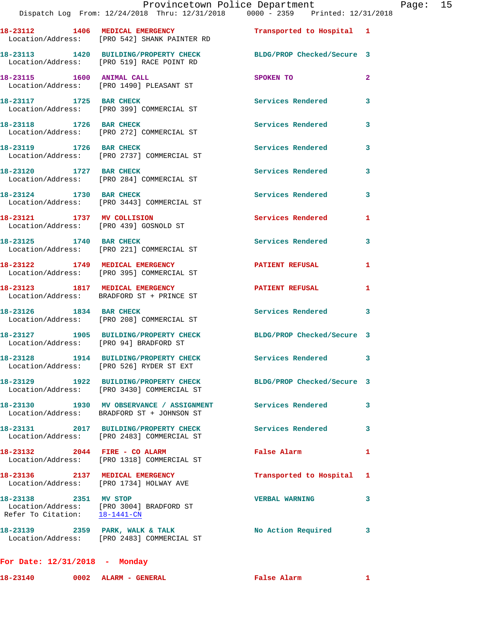|                                                        | Dispatch Log From: 12/24/2018 Thru: 12/31/2018 0000 - 2359 Printed: 12/31/2018                                                     | Provincetown Police Department Page: 15 |              |  |
|--------------------------------------------------------|------------------------------------------------------------------------------------------------------------------------------------|-----------------------------------------|--------------|--|
|                                                        | 18-23112 1406 MEDICAL EMERGENCY <b>12 Contains 18-23112</b> 1406 MEDICAL EMERGENCY<br>Location/Address: [PRO 542] SHANK PAINTER RD |                                         |              |  |
|                                                        | 18-23113 1420 BUILDING/PROPERTY CHECK BLDG/PROP Checked/Secure 3<br>Location/Address: [PRO 519] RACE POINT RD                      |                                         |              |  |
|                                                        | 18-23115 1600 ANIMAL CALL<br>Location/Address: [PRO 1490] PLEASANT ST                                                              | SPOKEN TO                               | $\mathbf{2}$ |  |
| 18-23117 1725 BAR CHECK                                | Location/Address: [PRO 399] COMMERCIAL ST                                                                                          | Services Rendered                       | 3            |  |
|                                                        | 18-23118 1726 BAR CHECK<br>Location/Address: [PRO 272] COMMERCIAL ST                                                               | Services Rendered                       | 3            |  |
|                                                        | 18-23119 1726 BAR CHECK<br>Location/Address: [PRO 2737] COMMERCIAL ST                                                              | Services Rendered                       | 3            |  |
|                                                        | 18-23120 1727 BAR CHECK<br>Location/Address: [PRO 284] COMMERCIAL ST                                                               | <b>Services Rendered</b>                | 3            |  |
|                                                        | 18-23124 1730 BAR CHECK<br>Location/Address: [PRO 3443] COMMERCIAL ST                                                              | Services Rendered                       | 3            |  |
|                                                        | 18-23121 1737 MV COLLISION<br>Location/Address: [PRO 439] GOSNOLD ST                                                               | Services Rendered                       | 1            |  |
|                                                        | 18-23125 1740 BAR CHECK<br>Location/Address: [PRO 221] COMMERCIAL ST                                                               | <b>Services Rendered</b>                | 3            |  |
|                                                        | 18-23122 1749 MEDICAL EMERGENCY<br>Location/Address: [PRO 395] COMMERCIAL ST                                                       | PATIENT REFUSAL                         | -1           |  |
|                                                        | 18-23123 1817 MEDICAL EMERGENCY<br>Location/Address: BRADFORD ST + PRINCE ST                                                       | <b>PATIENT REFUSAL</b>                  | 1            |  |
|                                                        | 18-23126 1834 BAR CHECK<br>Location/Address: [PRO 208] COMMERCIAL ST                                                               | Services Rendered 3                     |              |  |
| Location/Address: [PRO 94] BRADFORD ST                 | 18-23127 1905 BUILDING/PROPERTY CHECK BLDG/PROP Checked/Secure 3                                                                   |                                         |              |  |
|                                                        | 18-23128 1914 BUILDING/PROPERTY CHECK<br>Location/Address: [PRO 526] RYDER ST EXT                                                  | Services Rendered 3                     |              |  |
|                                                        | 18-23129 1922 BUILDING/PROPERTY CHECK BLDG/PROP Checked/Secure 3<br>Location/Address: [PRO 3430] COMMERCIAL ST                     |                                         |              |  |
|                                                        | 18-23130 1930 MV OBSERVANCE / ASSIGNMENT Services Rendered<br>Location/Address: BRADFORD ST + JOHNSON ST                           |                                         | 3            |  |
|                                                        | 18-23131 2017 BUILDING/PROPERTY CHECK Services Rendered<br>Location/Address: [PRO 2483] COMMERCIAL ST                              |                                         | 3            |  |
|                                                        | 18-23132 2044 FIRE - CO ALARM<br>Location/Address: [PRO 1318] COMMERCIAL ST                                                        | <b>False Alarm</b>                      | 1            |  |
|                                                        | 18-23136 2137 MEDICAL EMERGENCY<br>Location/Address: [PRO 1734] HOLWAY AVE                                                         | Transported to Hospital 1               |              |  |
| 18-23138 2351 MV STOP<br>Refer To Citation: 18-1441-CN | Location/Address: [PRO 3004] BRADFORD ST                                                                                           | <b>VERBAL WARNING</b>                   | 3            |  |
|                                                        | 18-23139 2359 PARK, WALK & TALK<br>Location/Address: [PRO 2483] COMMERCIAL ST                                                      | No Action Required                      | 3            |  |
|                                                        |                                                                                                                                    |                                         |              |  |

**For Date: 12/31/2018 - Monday**

**18-23140 0002 ALARM - GENERAL False Alarm 1**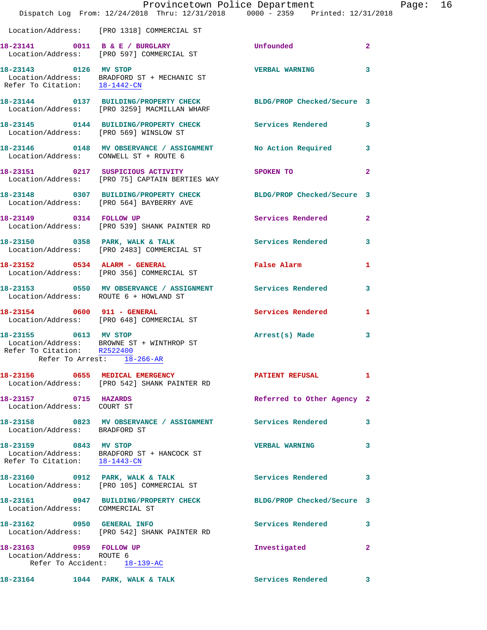|                                                        | Provincetown Police Department                                                                                   |                            |                |
|--------------------------------------------------------|------------------------------------------------------------------------------------------------------------------|----------------------------|----------------|
|                                                        | Dispatch Log From: 12/24/2018 Thru: 12/31/2018 0000 - 2359 Printed: 12/31/2018                                   |                            |                |
|                                                        | Location/Address: [PRO 1318] COMMERCIAL ST                                                                       |                            |                |
|                                                        | 18-23141 0011 B & E / BURGLARY<br>Location/Address: [PRO 597] COMMERCIAL ST                                      | <b>Unfounded</b>           | $\overline{a}$ |
| 18-23143 0126 MV STOP                                  | Location/Address: BRADFORD ST + MECHANIC ST<br>Refer To Citation: $\frac{18-1442-CN}{18-1442-CN}$                | <b>VERBAL WARNING</b>      | 3              |
|                                                        | 18-23144 0137 BUILDING/PROPERTY CHECK BLDG/PROP Checked/Secure 3<br>Location/Address: [PRO 3259] MACMILLAN WHARF |                            |                |
|                                                        | 18-23145 0144 BUILDING/PROPERTY CHECK Services Rendered<br>Location/Address: [PRO 569] WINSLOW ST                |                            | 3              |
|                                                        | 18-23146 0148 MV OBSERVANCE / ASSIGNMENT No Action Required<br>Location/Address: CONWELL ST + ROUTE 6            |                            | 3              |
|                                                        | 18-23151 0217 SUSPICIOUS ACTIVITY<br>Location/Address: [PRO 75] CAPTAIN BERTIES WAY                              | <b>SPOKEN TO</b>           | 2              |
|                                                        | 18-23148 0307 BUILDING/PROPERTY CHECK BLDG/PROP Checked/Secure 3<br>Location/Address: [PRO 564] BAYBERRY AVE     |                            |                |
|                                                        | 18-23149 0314 FOLLOW UP<br>Location/Address: [PRO 539] SHANK PAINTER RD                                          | <b>Services Rendered</b>   | $\overline{a}$ |
|                                                        | 18-23150 0358 PARK, WALK & TALK<br>Location/Address: [PRO 2483] COMMERCIAL ST                                    | Services Rendered          | 3              |
|                                                        | 18-23152 0534 ALARM - GENERAL<br>Location/Address: [PRO 356] COMMERCIAL ST                                       | False Alarm                | 1              |
|                                                        | 18-23153 0550 MV OBSERVANCE / ASSIGNMENT Services Rendered<br>Location/Address: ROUTE 6 + HOWLAND ST             |                            | 3              |
|                                                        | 18-23154 0600 911 - GENERAL<br>Location/Address: [PRO 648] COMMERCIAL ST                                         | <b>Services Rendered</b>   | 1              |
| 18-23155 0613 MV STOP<br>Refer To Citation: R2522400   | Location/Address: BROWNE ST + WINTHROP ST<br>Refer To Arrest: 18-266-AR                                          | Arrest(s) Made             | 3              |
|                                                        | 18-23156 0655 MEDICAL EMERGENCY<br>Location/Address: [PRO 542] SHANK PAINTER RD                                  | <b>PATIENT REFUSAL</b>     | 1              |
| 18-23157 0715 HAZARDS<br>Location/Address: COURT ST    |                                                                                                                  | Referred to Other Agency 2 |                |
| Location/Address: BRADFORD ST                          | 18-23158 0823 MV OBSERVANCE / ASSIGNMENT Services Rendered                                                       |                            | 3              |
| 18-23159 0843 MV STOP<br>Refer To Citation: 18-1443-CN | Location/Address: BRADFORD ST + HANCOCK ST                                                                       | <b>VERBAL WARNING</b>      | 3              |
|                                                        | 18-23160 0912 PARK, WALK & TALK<br>Location/Address: [PRO 105] COMMERCIAL ST                                     | <b>Services Rendered</b>   | 3              |
| Location/Address: COMMERCIAL ST                        | 18-23161 0947 BUILDING/PROPERTY CHECK                                                                            | BLDG/PROP Checked/Secure 3 |                |
| 18-23162 0950 GENERAL INFO                             | Location/Address: [PRO 542] SHANK PAINTER RD                                                                     | <b>Services Rendered</b>   | 3              |
| 18-23163 0959 FOLLOW UP<br>Location/Address: ROUTE 6   | Refer To Accident: 18-139-AC                                                                                     | Investigated               | 2              |
| 18-23164 1044 PARK, WALK & TALK                        |                                                                                                                  | <b>Services Rendered</b>   | 3              |

Page: 16